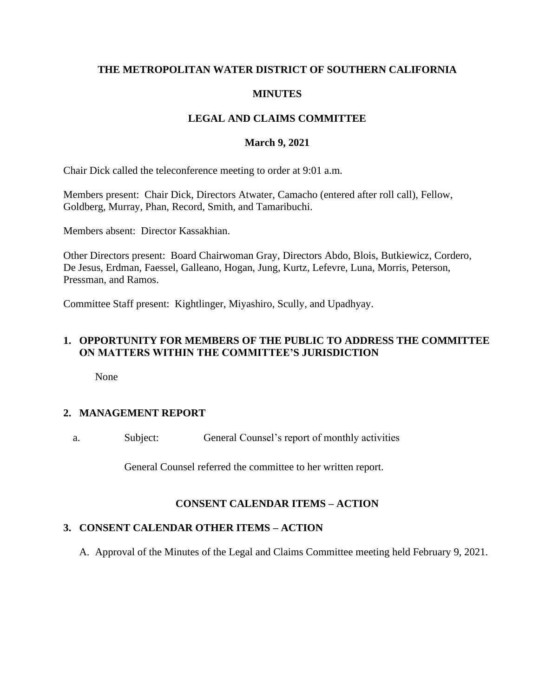# **THE METROPOLITAN WATER DISTRICT OF SOUTHERN CALIFORNIA**

# **MINUTES**

# **LEGAL AND CLAIMS COMMITTEE**

#### **March 9, 2021**

Chair Dick called the teleconference meeting to order at 9:01 a.m.

Members present: Chair Dick, Directors Atwater, Camacho (entered after roll call), Fellow, Goldberg, Murray, Phan, Record, Smith, and Tamaribuchi.

Members absent: Director Kassakhian.

Other Directors present: Board Chairwoman Gray, Directors Abdo, Blois, Butkiewicz, Cordero, De Jesus, Erdman, Faessel, Galleano, Hogan, Jung, Kurtz, Lefevre, Luna, Morris, Peterson, Pressman, and Ramos.

Committee Staff present: Kightlinger, Miyashiro, Scully, and Upadhyay.

## **1. OPPORTUNITY FOR MEMBERS OF THE PUBLIC TO ADDRESS THE COMMITTEE ON MATTERS WITHIN THE COMMITTEE'S JURISDICTION**

None

# **2. MANAGEMENT REPORT**

a. Subject: General Counsel's report of monthly activities

General Counsel referred the committee to her written report.

#### **CONSENT CALENDAR ITEMS – ACTION**

#### **3. CONSENT CALENDAR OTHER ITEMS – ACTION**

A. Approval of the Minutes of the Legal and Claims Committee meeting held February 9, 2021.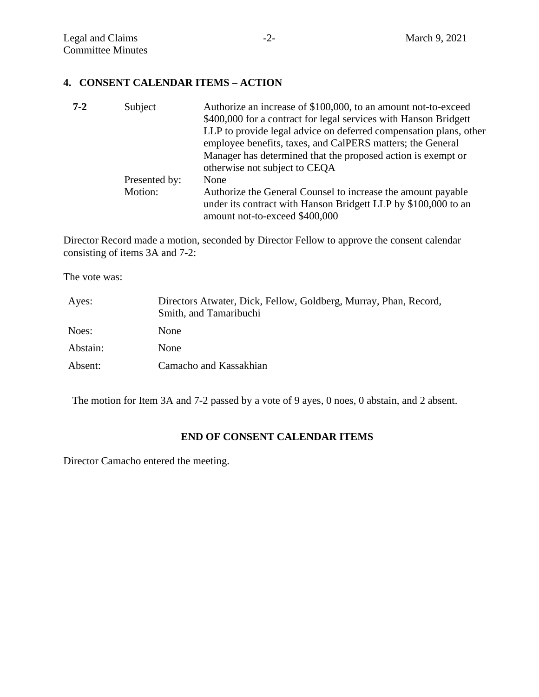#### **4. CONSENT CALENDAR ITEMS – ACTION**

| $7 - 2$ | Subject       | Authorize an increase of \$100,000, to an amount not-to-exceed    |
|---------|---------------|-------------------------------------------------------------------|
|         |               | \$400,000 for a contract for legal services with Hanson Bridgett  |
|         |               | LLP to provide legal advice on deferred compensation plans, other |
|         |               | employee benefits, taxes, and CalPERS matters; the General        |
|         |               | Manager has determined that the proposed action is exempt or      |
|         |               | otherwise not subject to CEQA                                     |
|         | Presented by: | None                                                              |
|         | Motion:       | Authorize the General Counsel to increase the amount payable      |
|         |               | under its contract with Hanson Bridgett LLP by \$100,000 to an    |
|         |               | amount not-to-exceed \$400,000                                    |

Director Record made a motion, seconded by Director Fellow to approve the consent calendar consisting of items 3A and 7-2:

The vote was:

| Ayes:    | Directors Atwater, Dick, Fellow, Goldberg, Murray, Phan, Record,<br>Smith, and Tamaribuchi |
|----------|--------------------------------------------------------------------------------------------|
| Noes:    | None                                                                                       |
| Abstain: | None                                                                                       |
| Absent:  | Camacho and Kassakhian                                                                     |

The motion for Item 3A and 7-2 passed by a vote of 9 ayes, 0 noes, 0 abstain, and 2 absent.

# **END OF CONSENT CALENDAR ITEMS**

Director Camacho entered the meeting.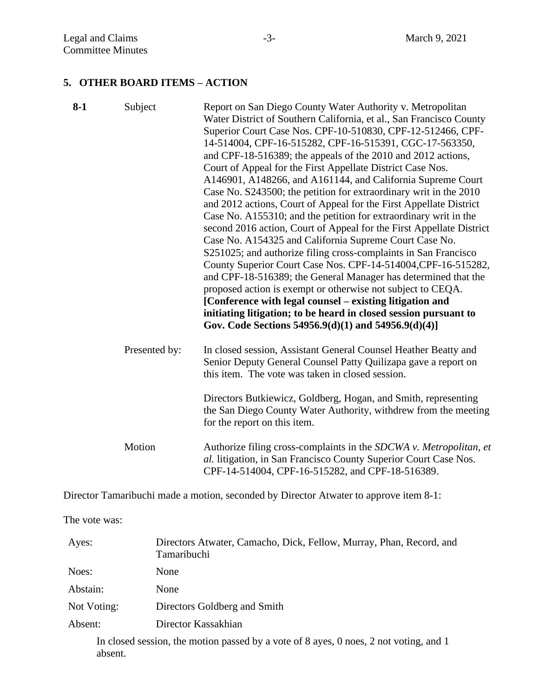#### **5. OTHER BOARD ITEMS – ACTION**

| $8-1$ | Subject       | Report on San Diego County Water Authority v. Metropolitan<br>Water District of Southern California, et al., San Francisco County<br>Superior Court Case Nos. CPF-10-510830, CPF-12-512466, CPF-<br>14-514004, CPF-16-515282, CPF-16-515391, CGC-17-563350,<br>and CPF-18-516389; the appeals of the 2010 and 2012 actions,<br>Court of Appeal for the First Appellate District Case Nos.<br>A146901, A148266, and A161144, and California Supreme Court<br>Case No. S243500; the petition for extraordinary writ in the 2010<br>and 2012 actions, Court of Appeal for the First Appellate District<br>Case No. A155310; and the petition for extraordinary writ in the<br>second 2016 action, Court of Appeal for the First Appellate District<br>Case No. A154325 and California Supreme Court Case No.<br>S251025; and authorize filing cross-complaints in San Francisco<br>County Superior Court Case Nos. CPF-14-514004, CPF-16-515282,<br>and CPF-18-516389; the General Manager has determined that the<br>proposed action is exempt or otherwise not subject to CEQA.<br>[Conference with legal counsel – existing litigation and<br>initiating litigation; to be heard in closed session pursuant to<br>Gov. Code Sections 54956.9(d)(1) and 54956.9(d)(4)] |
|-------|---------------|-----------------------------------------------------------------------------------------------------------------------------------------------------------------------------------------------------------------------------------------------------------------------------------------------------------------------------------------------------------------------------------------------------------------------------------------------------------------------------------------------------------------------------------------------------------------------------------------------------------------------------------------------------------------------------------------------------------------------------------------------------------------------------------------------------------------------------------------------------------------------------------------------------------------------------------------------------------------------------------------------------------------------------------------------------------------------------------------------------------------------------------------------------------------------------------------------------------------------------------------------------------------------|
|       | Presented by: | In closed session, Assistant General Counsel Heather Beatty and<br>Senior Deputy General Counsel Patty Quilizapa gave a report on<br>this item. The vote was taken in closed session.                                                                                                                                                                                                                                                                                                                                                                                                                                                                                                                                                                                                                                                                                                                                                                                                                                                                                                                                                                                                                                                                                 |
|       |               | Directors Butkiewicz, Goldberg, Hogan, and Smith, representing<br>the San Diego County Water Authority, withdrew from the meeting<br>for the report on this item.                                                                                                                                                                                                                                                                                                                                                                                                                                                                                                                                                                                                                                                                                                                                                                                                                                                                                                                                                                                                                                                                                                     |
|       | Motion        | Authorize filing cross-complaints in the SDCWA v. Metropolitan, et<br>al. litigation, in San Francisco County Superior Court Case Nos.<br>CPF-14-514004, CPF-16-515282, and CPF-18-516389.                                                                                                                                                                                                                                                                                                                                                                                                                                                                                                                                                                                                                                                                                                                                                                                                                                                                                                                                                                                                                                                                            |

Director Tamaribuchi made a motion, seconded by Director Atwater to approve item 8-1:

The vote was:

| Ayes:       | Directors Atwater, Camacho, Dick, Fellow, Murray, Phan, Record, and<br><b>Tamaribuchi</b> |
|-------------|-------------------------------------------------------------------------------------------|
| Noes:       | None                                                                                      |
| Abstain:    | None                                                                                      |
| Not Voting: | Directors Goldberg and Smith                                                              |
| Absent:     | Director Kassakhian                                                                       |
|             |                                                                                           |

In closed session, the motion passed by a vote of 8 ayes, 0 noes, 2 not voting, and 1 absent.